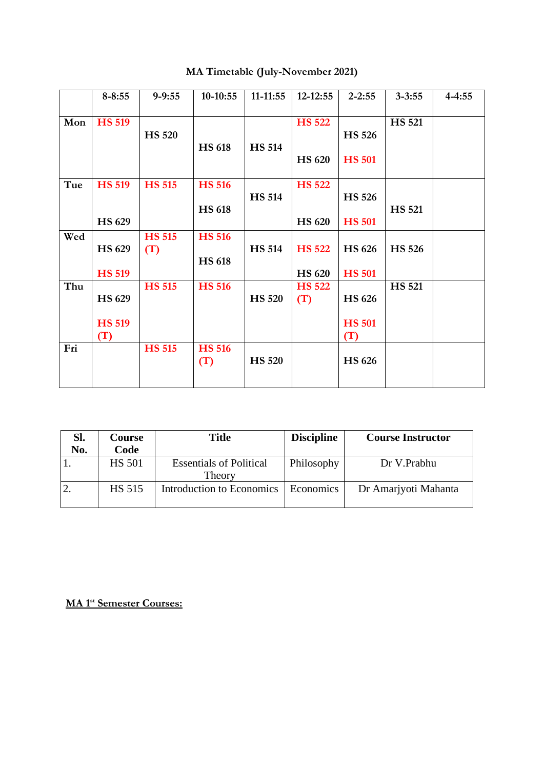|     | $8 - 8:55$    | $9 - 9:55$    | $10-10:55$           | $11-11:55$    | 12-12:55      | $2 - 2:55$    | $3 - 3:55$    | $4 - 4:55$ |
|-----|---------------|---------------|----------------------|---------------|---------------|---------------|---------------|------------|
| Mon | <b>HS 519</b> | <b>HS 520</b> |                      |               | <b>HS 522</b> | <b>HS 526</b> | <b>HS 521</b> |            |
|     |               |               | <b>HS 618</b>        | <b>HS 514</b> | <b>HS 620</b> | <b>HS 501</b> |               |            |
| Tue | <b>HS 519</b> | <b>HS 515</b> | <b>HS 516</b>        |               | <b>HS 522</b> |               |               |            |
|     |               |               | <b>HS 618</b>        | <b>HS 514</b> |               | <b>HS 526</b> | <b>HS 521</b> |            |
|     | HS 629        |               |                      |               | <b>HS 620</b> | <b>HS 501</b> |               |            |
| Wed |               | <b>HS 515</b> | <b>HS 516</b>        |               |               |               |               |            |
|     | HS 629        | (T)           | <b>HS 618</b>        | <b>HS 514</b> | <b>HS 522</b> | <b>HS 626</b> | <b>HS 526</b> |            |
|     | <b>HS 519</b> |               |                      |               | <b>HS 620</b> | <b>HS 501</b> |               |            |
| Thu |               | <b>HS 515</b> | <b>HS 516</b>        |               | <b>HS 522</b> |               | <b>HS 521</b> |            |
|     | <b>HS 629</b> |               |                      | <b>HS 520</b> | (T)           | <b>HS 626</b> |               |            |
|     | <b>HS 519</b> |               |                      |               |               | <b>HS 501</b> |               |            |
|     | (T)           |               |                      |               |               | (T)           |               |            |
| Fri |               | <b>HS 515</b> | <b>HS 516</b><br>(T) | <b>HS 520</b> |               | <b>HS 626</b> |               |            |
|     |               |               |                      |               |               |               |               |            |

## **MA Timetable (July-November 2021)**

| SI.<br>No. | <b>Course</b><br>Code | <b>Title</b>                             | <b>Discipline</b> | <b>Course Instructor</b> |
|------------|-----------------------|------------------------------------------|-------------------|--------------------------|
|            | <b>HS 501</b>         | <b>Essentials of Political</b><br>Theory | Philosophy        | Dr V.Prabhu              |
|            | <b>HS 515</b>         | Introduction to Economics                | Economics         | Dr Amarjyoti Mahanta     |

**MA 1st Semester Courses:**